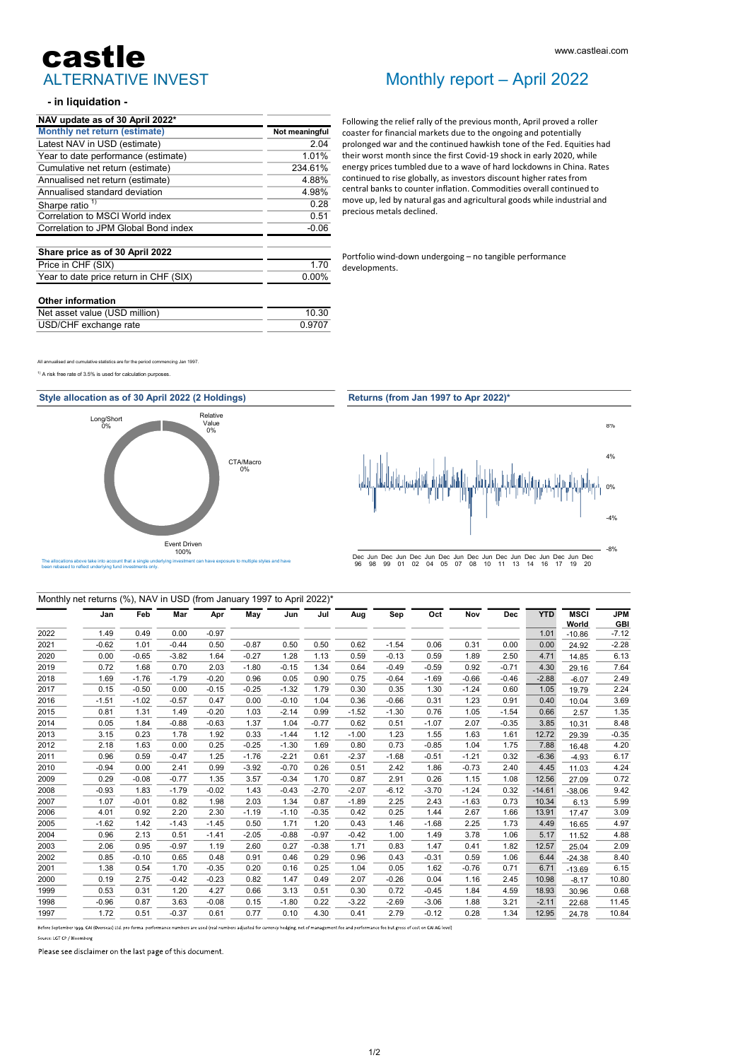# ALTERNATIVE INVEST castle

### - in liquidation -

| NAV update as of 30 April 2022*        |                |
|----------------------------------------|----------------|
| Monthly net return (estimate)          | Not meaningful |
| Latest NAV in USD (estimate)           | 2.04           |
| Year to date performance (estimate)    | 1.01%          |
| Cumulative net return (estimate)       | 234.61%        |
| Annualised net return (estimate)       | 4.88%          |
| Annualised standard deviation          | 4.98%          |
| Sharpe ratio <sup>1)</sup>             | 0.28           |
| Correlation to MSCI World index        | 0.51           |
| Correlation to JPM Global Bond index   | $-0.06$        |
| Share price as of 30 April 2022        |                |
| Price in CHF (SIX)                     | 1 70           |
| Year to date price return in CHF (SIX) | $0.00\%$       |
| <b>Other information</b>               |                |

| Net asset value (USD million) | 10.30  |  |  |  |
|-------------------------------|--------|--|--|--|
| USD/CHF exchange rate         | 0.9707 |  |  |  |
|                               |        |  |  |  |

All annualised and cumulative statistics are for the period commencing Jan 1997.

 $<sup>1)</sup>$  A risk free rate of 3.5% is used for calculation purpos</sup>





## Monthly report – April 2022

Following the relief rally of the previous month, April proved a roller coaster for financial markets due to the ongoing and potentially prolonged war and the continued hawkish tone of the Fed. Equities had their worst month since the first Covid-19 shock in early 2020, while energy prices tumbled due to a wave of hard lockdowns in China. Rates continued to rise globally, as investors discount higher rates from central banks to counter inflation. Commodities overall continued to move up, led by natural gas and agricultural goods while industrial and precious metals declined. www.castleai.com<br>
Monthly report — April 2022<br>
Following the relief rally of the previous month, April proved a roller<br>
coaster for financial markets due to the ongoing and potentially<br>
prolonged war and the continued hawk

developments.



### Monthly net returns (%), NAV in USD (from January 1997 to April 2022)\*

|      | Jan     | Feb     | Mar     | Apr     | May     | Jun     | Jul     | Aug     | Sep     | Oct     | Nov     | Dec     | <b>YTD</b> | <b>MSCI</b> | <b>JPM</b> |
|------|---------|---------|---------|---------|---------|---------|---------|---------|---------|---------|---------|---------|------------|-------------|------------|
|      |         |         |         |         |         |         |         |         |         |         |         |         |            | World       | <b>GBI</b> |
| 2022 | 1.49    | 0.49    | 0.00    | $-0.97$ |         |         |         |         |         |         |         |         | 1.01       | $-10.86$    | $-7.12$    |
| 2021 | $-0.62$ | 1.01    | $-0.44$ | 0.50    | $-0.87$ | 0.50    | 0.50    | 0.62    | $-1.54$ | 0.06    | 0.31    | 0.00    | 0.00       | 24.92       | $-2.28$    |
| 2020 | 0.00    | $-0.65$ | $-3.82$ | 1.64    | $-0.27$ | 1.28    | 1.13    | 0.59    | $-0.13$ | 0.59    | 1.89    | 2.50    | 4.71       | 14.85       | 6.13       |
| 2019 | 0.72    | 1.68    | 0.70    | 2.03    | $-1.80$ | $-0.15$ | 1.34    | 0.64    | $-0.49$ | $-0.59$ | 0.92    | $-0.71$ | 4.30       | 29.16       | 7.64       |
| 2018 | 1.69    | $-1.76$ | $-1.79$ | $-0.20$ | 0.96    | 0.05    | 0.90    | 0.75    | $-0.64$ | $-1.69$ | $-0.66$ | $-0.46$ | $-2.88$    | $-6.07$     | 2.49       |
| 2017 | 0.15    | $-0.50$ | 0.00    | $-0.15$ | $-0.25$ | $-1.32$ | 1.79    | 0.30    | 0.35    | 1.30    | $-1.24$ | 0.60    | 1.05       | 19.79       | 2.24       |
| 2016 | $-1.51$ | $-1.02$ | $-0.57$ | 0.47    | 0.00    | $-0.10$ | 1.04    | 0.36    | $-0.66$ | 0.31    | 1.23    | 0.91    | 0.40       | 10.04       | 3.69       |
| 2015 | 0.81    | 1.31    | 1.49    | $-0.20$ | 1.03    | $-2.14$ | 0.99    | $-1.52$ | $-1.30$ | 0.76    | 1.05    | $-1.54$ | 0.66       | 2.57        | 1.35       |
| 2014 | 0.05    | 1.84    | $-0.88$ | $-0.63$ | 1.37    | 1.04    | $-0.77$ | 0.62    | 0.51    | $-1.07$ | 2.07    | $-0.35$ | 3.85       | 10.31       | 8.48       |
| 2013 | 3.15    | 0.23    | 1.78    | 1.92    | 0.33    | $-1.44$ | 1.12    | $-1.00$ | 1.23    | 1.55    | 1.63    | 1.61    | 12.72      | 29.39       | $-0.35$    |
| 2012 | 2.18    | 1.63    | 0.00    | 0.25    | $-0.25$ | $-1.30$ | 1.69    | 0.80    | 0.73    | $-0.85$ | 1.04    | 1.75    | 7.88       | 16.48       | 4.20       |
| 2011 | 0.96    | 0.59    | $-0.47$ | 1.25    | $-1.76$ | $-2.21$ | 0.61    | $-2.37$ | $-1.68$ | $-0.51$ | $-1.21$ | 0.32    | $-6.36$    | $-4.93$     | 6.17       |
| 2010 | $-0.94$ | 0.00    | 2.41    | 0.99    | $-3.92$ | $-0.70$ | 0.26    | 0.51    | 2.42    | 1.86    | $-0.73$ | 2.40    | 4.45       | 11.03       | 4.24       |
| 2009 | 0.29    | $-0.08$ | $-0.77$ | 1.35    | 3.57    | $-0.34$ | 1.70    | 0.87    | 2.91    | 0.26    | 1.15    | 1.08    | 12.56      | 27.09       | 0.72       |
| 2008 | $-0.93$ | 1.83    | $-1.79$ | $-0.02$ | 1.43    | $-0.43$ | $-2.70$ | $-2.07$ | $-6.12$ | $-3.70$ | $-1.24$ | 0.32    | $-14.61$   | $-38.06$    | 9.42       |
| 2007 | 1.07    | $-0.01$ | 0.82    | 1.98    | 2.03    | 1.34    | 0.87    | $-1.89$ | 2.25    | 2.43    | $-1.63$ | 0.73    | 10.34      | 6.13        | 5.99       |
| 2006 | 4.01    | 0.92    | 2.20    | 2.30    | $-1.19$ | $-1.10$ | $-0.35$ | 0.42    | 0.25    | 1.44    | 2.67    | 1.66    | 13.91      | 17.47       | 3.09       |
| 2005 | $-1.62$ | 1.42    | $-1.43$ | $-1.45$ | 0.50    | 1.71    | 1.20    | 0.43    | 1.46    | $-1.68$ | 2.25    | 1.73    | 4.49       | 16.65       | 4.97       |
| 2004 | 0.96    | 2.13    | 0.51    | $-1.41$ | $-2.05$ | $-0.88$ | $-0.97$ | $-0.42$ | 1.00    | 1.49    | 3.78    | 1.06    | 5.17       | 11.52       | 4.88       |
| 2003 | 2.06    | 0.95    | $-0.97$ | 1.19    | 2.60    | 0.27    | $-0.38$ | 1.71    | 0.83    | 1.47    | 0.41    | 1.82    | 12.57      | 25.04       | 2.09       |
| 2002 | 0.85    | $-0.10$ | 0.65    | 0.48    | 0.91    | 0.46    | 0.29    | 0.96    | 0.43    | $-0.31$ | 0.59    | 1.06    | 6.44       | $-24.38$    | 8.40       |
| 2001 | 1.38    | 0.54    | 1.70    | $-0.35$ | 0.20    | 0.16    | 0.25    | 1.04    | 0.05    | 1.62    | $-0.76$ | 0.71    | 6.71       | $-13.69$    | 6.15       |
| 2000 | 0.19    | 2.75    | $-0.42$ | $-0.23$ | 0.82    | 1.47    | 0.49    | 2.07    | $-0.26$ | 0.04    | 1.16    | 2.45    | 10.98      | $-8.17$     | 10.80      |
| 1999 | 0.53    | 0.31    | 1.20    | 4.27    | 0.66    | 3.13    | 0.51    | 0.30    | 0.72    | $-0.45$ | 1.84    | 4.59    | 18.93      | 30.96       | 0.68       |
| 1998 | $-0.96$ | 0.87    | 3.63    | $-0.08$ | 0.15    | $-1.80$ | 0.22    | $-3.22$ | $-2.69$ | $-3.06$ | 1.88    | 3.21    | $-2.11$    | 22.68       | 11.45      |
| 1997 | 1.72    | 0.51    | $-0.37$ | 0.61    | 0.77    | 0.10    | 4.30    | 0.41    | 2.79    | $-0.12$ | 0.28    | 1.34    | 12.95      | 24.78       | 10.84      |
|      |         |         |         |         |         |         |         |         |         |         |         |         |            |             |            |

Before September 1999, CAI (Overseas) Ltd. pro-forma performance numbers are used (real numbers adjusted for currency hedging, net of management fee and performance fee but gross of cost on CAI AG level)

Source: LGT CP / Bloombers

Please see disclaimer on the last page of this document.

#### 1/2